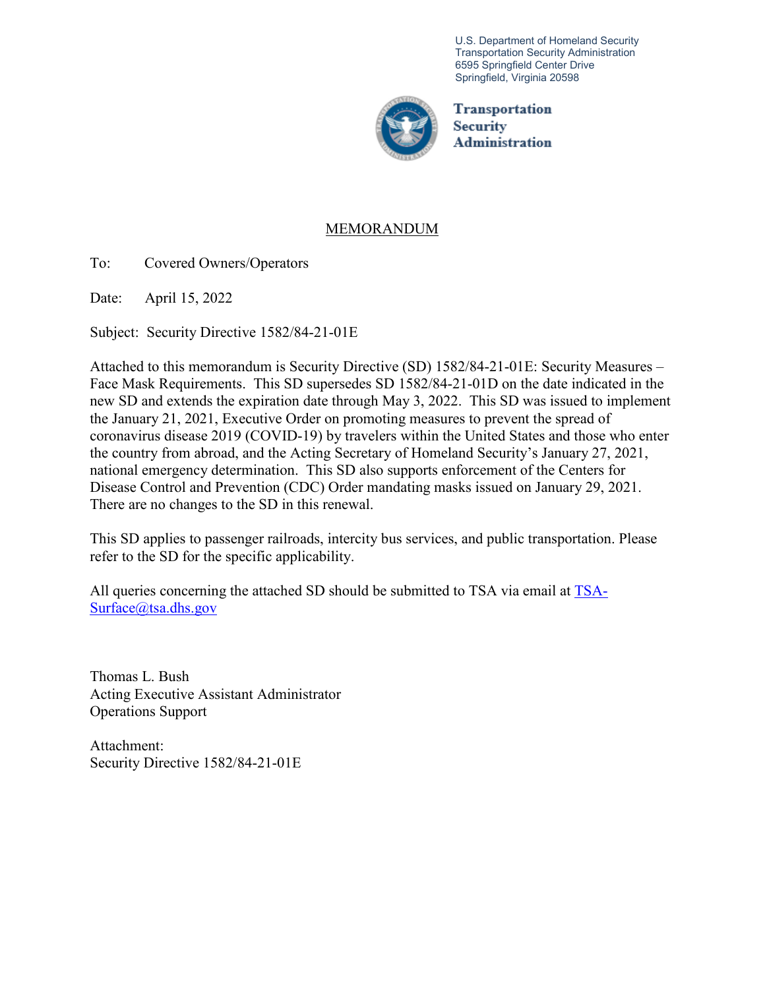U.S. Department of Homeland Security Transportation Security Administration 6595 Springfield Center Drive Springfield, Virginia 20598



**Transportation Security** Administration

# MEMORANDUM

To: Covered Owners/Operators

Date: April 15, 2022

Subject: Security Directive 1582/84-21-01E

Attached to this memorandum is Security Directive (SD) 1582/84-21-01E: Security Measures – Face Mask Requirements. This SD supersedes SD 1582/84-21-01D on the date indicated in the new SD and extends the expiration date through May 3, 2022. This SD was issued to implement the January 21, 2021, Executive Order on promoting measures to prevent the spread of coronavirus disease 2019 (COVID-19) by travelers within the United States and those who enter the country from abroad, and the Acting Secretary of Homeland Security's January 27, 2021, national emergency determination. This SD also supports enforcement of the Centers for Disease Control and Prevention (CDC) Order mandating masks issued on January 29, 2021. There are no changes to the SD in this renewal.

This SD applies to passenger railroads, intercity bus services, and public transportation. Please refer to the SD for the specific applicability.

All queries concerning the attached SD should be submitted to TSA via email at [TSA-](mailto:TSA-Surface@tsa.dhs.gov)[Surface@tsa.dhs.gov](mailto:TSA-Surface@tsa.dhs.gov)

Thomas L. Bush Acting Executive Assistant Administrator Operations Support

Attachment: Security Directive 1582/84-21-01E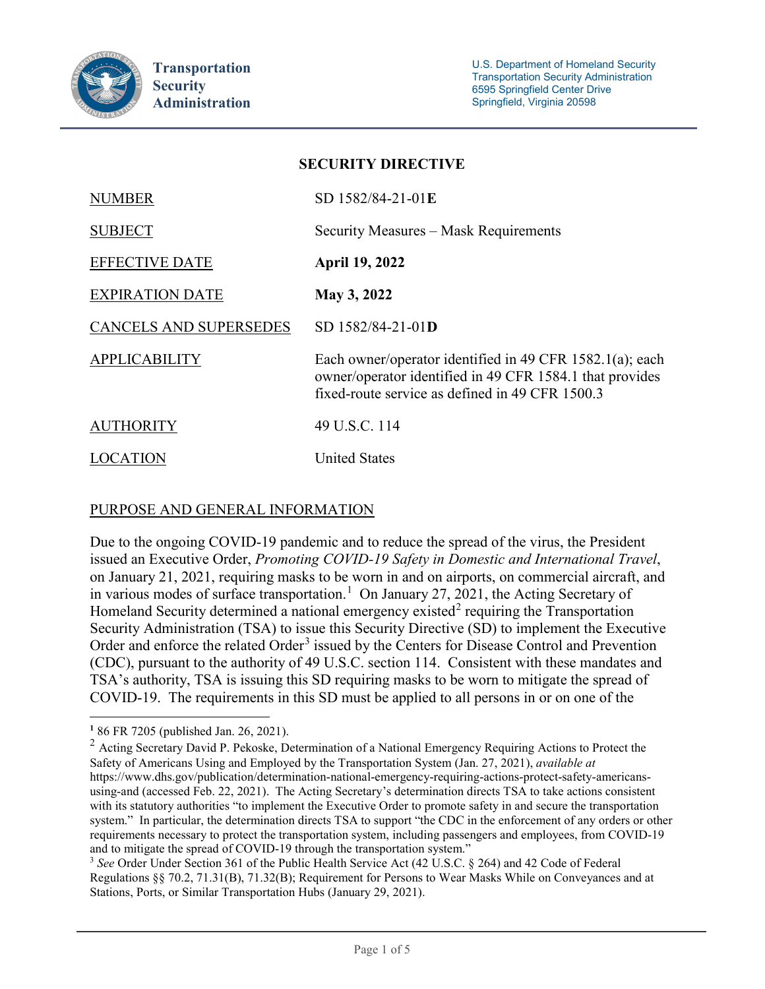

| SECUNII I DINECITVE    |                                                                                                                                                                         |
|------------------------|-------------------------------------------------------------------------------------------------------------------------------------------------------------------------|
| <b>NUMBER</b>          | SD 1582/84-21-01E                                                                                                                                                       |
| <b>SUBJECT</b>         | Security Measures – Mask Requirements                                                                                                                                   |
| <b>EFFECTIVE DATE</b>  | <b>April 19, 2022</b>                                                                                                                                                   |
| <b>EXPIRATION DATE</b> | May 3, 2022                                                                                                                                                             |
| CANCELS AND SUPERSEDES | SD 1582/84-21-01D                                                                                                                                                       |
| <b>APPLICABILITY</b>   | Each owner/operator identified in 49 CFR 1582.1(a); each<br>owner/operator identified in 49 CFR 1584.1 that provides<br>fixed-route service as defined in 49 CFR 1500.3 |
| <b>AUTHORITY</b>       | 49 U.S.C. 114                                                                                                                                                           |
| LOCATION               | <b>United States</b>                                                                                                                                                    |

**SECURITY DIRECTIVE**

## PURPOSE AND GENERAL INFORMATION

Due to the ongoing COVID-19 pandemic and to reduce the spread of the virus, the President issued an Executive Order, *Promoting COVID-19 Safety in Domestic and International Travel*, on January 21, 2021, requiring masks to be worn in and on airports, on commercial aircraft, and in various modes of surface transportation.<sup>[1](#page-1-0)</sup> On January 27, 2021, the Acting Secretary of Homeland Security determined a national emergency existed<sup>[2](#page-1-1)</sup> requiring the Transportation Security Administration (TSA) to issue this Security Directive (SD) to implement the Executive Order and enforce the related Order<sup>[3](#page-1-2)</sup> issued by the Centers for Disease Control and Prevention (CDC), pursuant to the authority of 49 U.S.C. section 114. Consistent with these mandates and TSA's authority, TSA is issuing this SD requiring masks to be worn to mitigate the spread of COVID-19. The requirements in this SD must be applied to all persons in or on one of the

 $\overline{a}$ **<sup>1</sup>** 86 FR 7205 (published Jan. 26, 2021).

<span id="page-1-1"></span><span id="page-1-0"></span><sup>&</sup>lt;sup>2</sup> Acting Secretary David P. Pekoske, Determination of a National Emergency Requiring Actions to Protect the Safety of Americans Using and Employed by the Transportation System (Jan. 27, 2021), *available at*  https://www.dhs.gov/publication/determination-national-emergency-requiring-actions-protect-safety-americansusing-and (accessed Feb. 22, 2021). The Acting Secretary's determination directs TSA to take actions consistent with its statutory authorities "to implement the Executive Order to promote safety in and secure the transportation system." In particular, the determination directs TSA to support "the CDC in the enforcement of any orders or other requirements necessary to protect the transportation system, including passengers and employees, from COVID-19 and to mitigate the spread of COVID-19 through the transportation system."<br><sup>3</sup> *See* Order Under Section 361 of the Public Health Service Act (42 U.S.C. § 264) and 42 Code of Federal

<span id="page-1-2"></span>Regulations §§ 70.2, 71.31(B), 71.32(B); Requirement for Persons to Wear Masks While on Conveyances and at Stations, Ports, or Similar Transportation Hubs (January 29, 2021).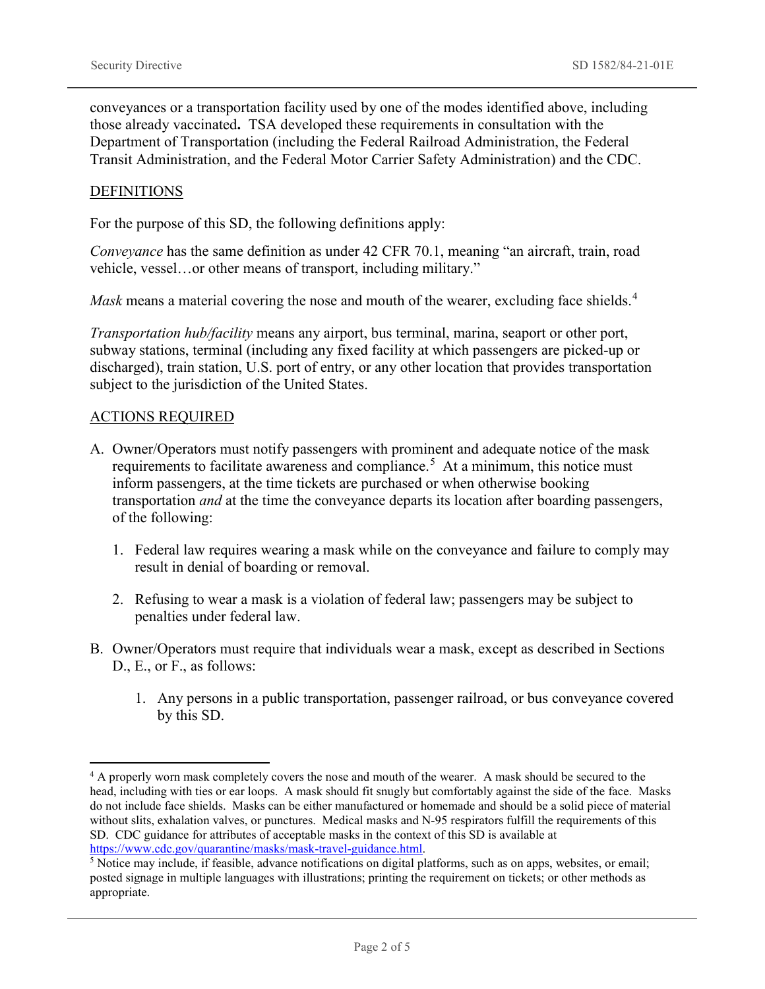conveyances or a transportation facility used by one of the modes identified above, including those already vaccinated**.** TSA developed these requirements in consultation with the Department of Transportation (including the Federal Railroad Administration, the Federal Transit Administration, and the Federal Motor Carrier Safety Administration) and the CDC.

#### **DEFINITIONS**

For the purpose of this SD, the following definitions apply:

*Conveyance* has the same definition as under 42 CFR 70.1, meaning "an aircraft, train, road vehicle, vessel…or other means of transport, including military."

*Mask* means a material covering the nose and mouth of the wearer, excluding face shields.<sup>[4](#page-2-0)</sup>

*Transportation hub/facility* means any airport, bus terminal, marina, seaport or other port, subway stations, terminal (including any fixed facility at which passengers are picked-up or discharged), train station, U.S. port of entry, or any other location that provides transportation subject to the jurisdiction of the United States.

#### ACTIONS REQUIRED

 $\overline{a}$ 

- A. Owner/Operators must notify passengers with prominent and adequate notice of the mask requirements to facilitate awareness and compliance.<sup>[5](#page-2-1)</sup> At a minimum, this notice must inform passengers, at the time tickets are purchased or when otherwise booking transportation *and* at the time the conveyance departs its location after boarding passengers, of the following:
	- 1. Federal law requires wearing a mask while on the conveyance and failure to comply may result in denial of boarding or removal.
	- 2. Refusing to wear a mask is a violation of federal law; passengers may be subject to penalties under federal law.
- B. Owner/Operators must require that individuals wear a mask, except as described in Sections D., E., or F., as follows:
	- 1. Any persons in a public transportation, passenger railroad, or bus conveyance covered by this SD.

<span id="page-2-0"></span><sup>&</sup>lt;sup>4</sup> A properly worn mask completely covers the nose and mouth of the wearer. A mask should be secured to the head, including with ties or ear loops. A mask should fit snugly but comfortably against the side of the face. Masks do not include face shields. Masks can be either manufactured or homemade and should be a solid piece of material without slits, exhalation valves, or punctures. Medical masks and N-95 respirators fulfill the requirements of this SD. CDC guidance for attributes of acceptable masks in the context of this SD is available at https://www.cdc.gov/quarantine/masks/mask-travel-guidance.html.<br><sup>5</sup> Notice may include, if feasible, advance notifications on digital platforms, such as on apps, websites, or email;

<span id="page-2-1"></span>posted signage in multiple languages with illustrations; printing the requirement on tickets; or other methods as appropriate.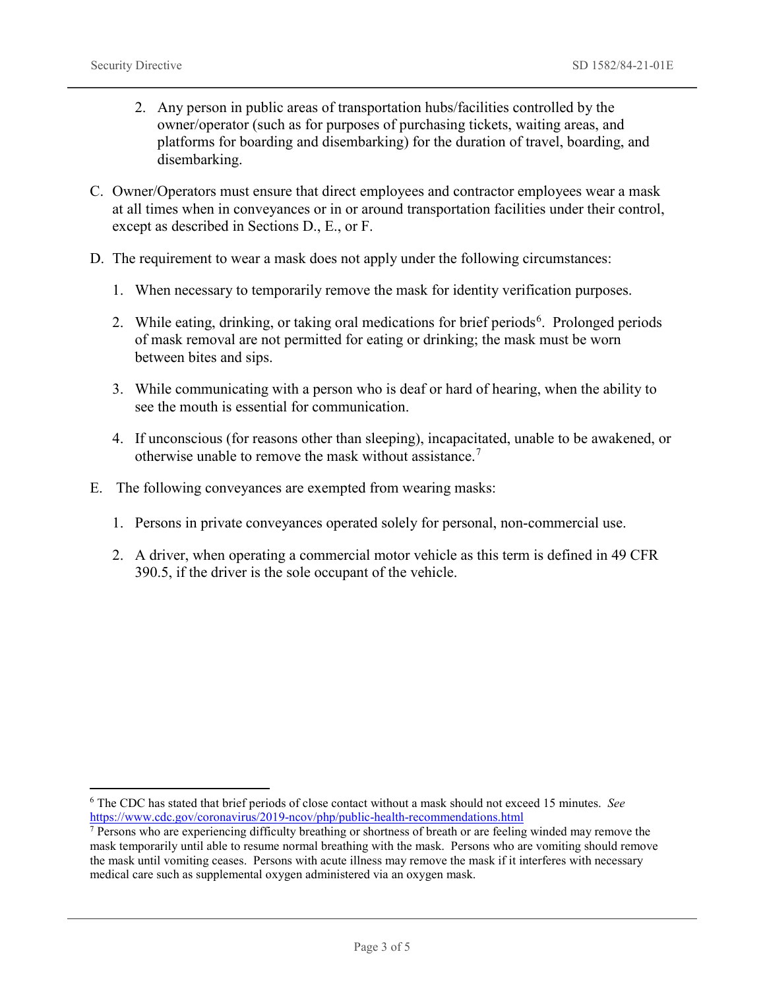$\overline{a}$ 

- 2. Any person in public areas of transportation hubs/facilities controlled by the owner/operator (such as for purposes of purchasing tickets, waiting areas, and platforms for boarding and disembarking) for the duration of travel, boarding, and disembarking.
- C. Owner/Operators must ensure that direct employees and contractor employees wear a mask at all times when in conveyances or in or around transportation facilities under their control, except as described in Sections D., E., or F.
- D. The requirement to wear a mask does not apply under the following circumstances:
	- 1. When necessary to temporarily remove the mask for identity verification purposes.
	- 2. While eating, drinking, or taking oral medications for brief periods<sup>[6](#page-3-0)</sup>. Prolonged periods of mask removal are not permitted for eating or drinking; the mask must be worn between bites and sips.
	- 3. While communicating with a person who is deaf or hard of hearing, when the ability to see the mouth is essential for communication.
	- 4. If unconscious (for reasons other than sleeping), incapacitated, unable to be awakened, or otherwise unable to remove the mask without assistance.<sup>[7](#page-3-1)</sup>
- E. The following conveyances are exempted from wearing masks:
	- 1. Persons in private conveyances operated solely for personal, non-commercial use.
	- 2. A driver, when operating a commercial motor vehicle as this term is defined in 49 CFR 390.5, if the driver is the sole occupant of the vehicle.

<span id="page-3-0"></span><sup>&</sup>lt;sup>6</sup> The CDC has stated that brief periods of close contact without a mask should not exceed 15 minutes. *See* https://www.cdc.gov/coronavirus/2019-ncov/php/public-health-recommendations.html

<span id="page-3-1"></span> $\frac{1}{\sqrt{2}}$  Persons who are experiencing difficulty breathing or shortness of breath or are feeling winded may remove the mask temporarily until able to resume normal breathing with the mask. Persons who are vomiting should remove the mask until vomiting ceases. Persons with acute illness may remove the mask if it interferes with necessary medical care such as supplemental oxygen administered via an oxygen mask.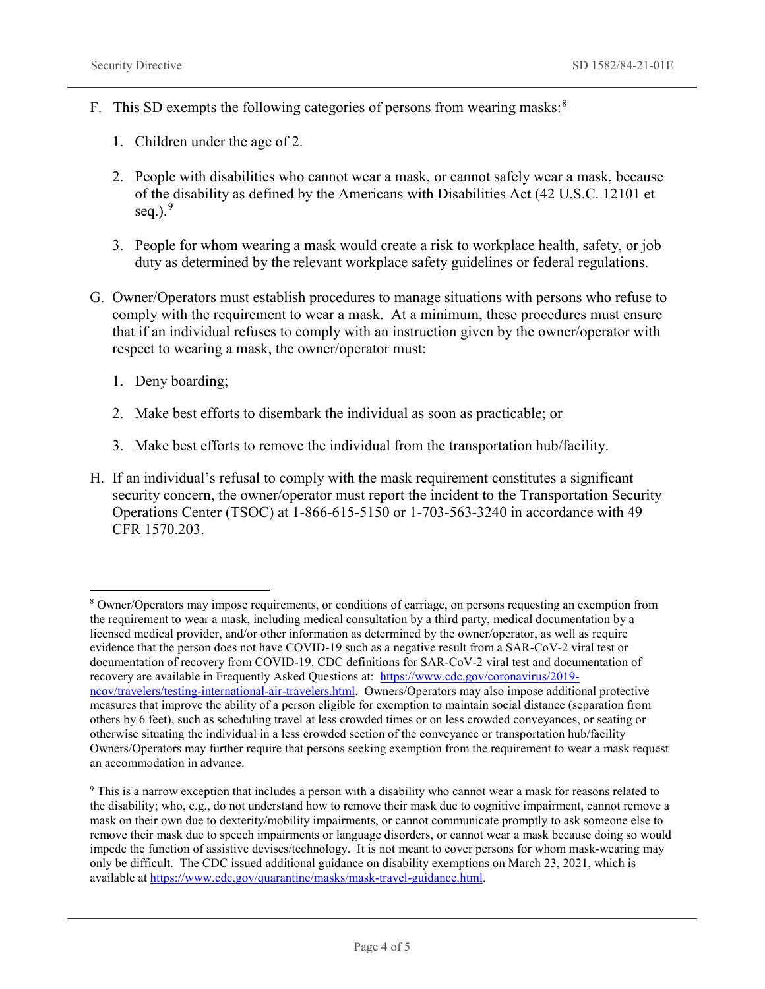- F. This SD exempts the following categories of persons from wearing masks:<sup>[8](#page-4-0)</sup>
	- 1. Children under the age of 2.
	- 2. People with disabilities who cannot wear a mask, or cannot safely wear a mask, because of the disability as defined by the Americans with Disabilities Act (42 U.S.C. 12101 et seq.). $9$
	- 3. People for whom wearing a mask would create a risk to workplace health, safety, or job duty as determined by the relevant workplace safety guidelines or federal regulations.
- G. Owner/Operators must establish procedures to manage situations with persons who refuse to comply with the requirement to wear a mask. At a minimum, these procedures must ensure that if an individual refuses to comply with an instruction given by the owner/operator with respect to wearing a mask, the owner/operator must:
	- 1. Deny boarding;

 $\overline{a}$ 

- 2. Make best efforts to disembark the individual as soon as practicable; or
- 3. Make best efforts to remove the individual from the transportation hub/facility.
- H. If an individual's refusal to comply with the mask requirement constitutes a significant security concern, the owner/operator must report the incident to the Transportation Security Operations Center (TSOC) at 1-866-615-5150 or 1-703-563-3240 in accordance with 49 CFR 1570.203.

<span id="page-4-0"></span><sup>8</sup> Owner/Operators may impose requirements, or conditions of carriage, on persons requesting an exemption from the requirement to wear a mask, including medical consultation by a third party, medical documentation by a licensed medical provider, and/or other information as determined by the owner/operator, as well as require evidence that the person does not have COVID-19 such as a negative result from a SAR-CoV-2 viral test or documentation of recovery from COVID-19. CDC definitions for SAR-CoV-2 viral test and documentation of recovery are available in Frequently Asked Questions at: [https://www.cdc.gov/coronavirus/2019](https://www.cdc.gov/coronavirus/2019-ncov/travelers/testing-international-air-travelers.html) [ncov/travelers/testing-international-air-travelers.html.](https://www.cdc.gov/coronavirus/2019-ncov/travelers/testing-international-air-travelers.html) Owners/Operators may also impose additional protective measures that improve the ability of a person eligible for exemption to maintain social distance (separation from others by 6 feet), such as scheduling travel at less crowded times or on less crowded conveyances, or seating or otherwise situating the individual in a less crowded section of the conveyance or transportation hub/facility Owners/Operators may further require that persons seeking exemption from the requirement to wear a mask request an accommodation in advance.

<span id="page-4-1"></span><sup>9</sup> This is a narrow exception that includes a person with a disability who cannot wear a mask for reasons related to the disability; who, e.g., do not understand how to remove their mask due to cognitive impairment, cannot remove a mask on their own due to dexterity/mobility impairments, or cannot communicate promptly to ask someone else to remove their mask due to speech impairments or language disorders, or cannot wear a mask because doing so would impede the function of assistive devises/technology. It is not meant to cover persons for whom mask-wearing may only be difficult. The CDC issued additional guidance on disability exemptions on March 23, 2021, which is available at [https://www.cdc.gov/quarantine/masks/mask-travel-guidance.html.](https://www.cdc.gov/quarantine/masks/mask-travel-guidance.html)